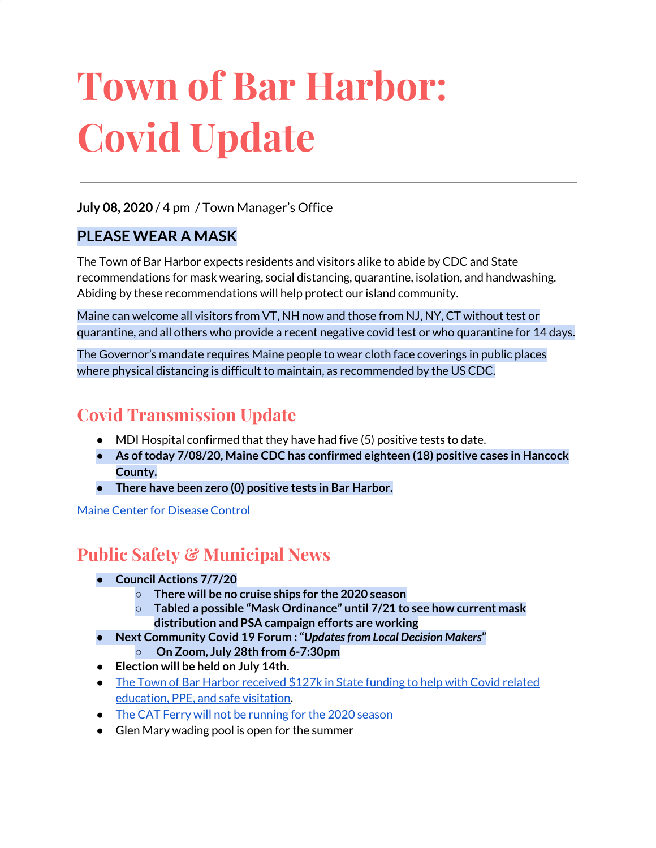# **Town of Bar Harbor: Covid Update**

#### **July 08, 2020** / 4 pm / Town Manager's Office

#### **PLEASE WEAR A MASK**

The Town of Bar Harbor expects residents and visitors alike to abide by CDC and State recommendations for mask wearing, social distancing, quarantine, isolation, and handwashing. Abiding by these recommendations will help protect our island community.

Maine can welcome all visitors from VT, NH now and those from NJ, NY, CT without test or quarantine, and all others who provide a recent negative covid test or who quarantine for 14 days.

The Governor's mandate requires Maine people to wear cloth face coverings in public places where physical distancing is difficult to maintain, as recommended by the US CDC.

## **Covid Transmission Update**

- $\bullet$  MDI Hospital confirmed that they have had five (5) positive tests to date.
- **● As oftoday 7/08/20, Maine CDC has confirmed eighteen (18) positive cases in Hancock County.**
- **● There have been zero (0) positive tests in Bar Harbor.**

Maine Center for [Disease](https://www.maine.gov/dhhs/mecdc/infectious-disease/epi/airborne/coronavirus.shtml) Control

## **Public Safety & Municipal News**

- **● Council Actions 7/7/20**
	- **○ There will be no cruise ships for the 2020 season**
	- **○ Tabled a possible "Mask Ordinance" until 7/21 to see how current mask distribution and PSA campaign efforts are working**
- **● Next Community Covid 19 Forum :"***Updatesfrom Local Decision Makers***" ○ On Zoom, July 28th from 6-7:30pm**
- **● Election will be held on July 14th.**
- The Town of Bar Harbor [received](https://www.maine.gov/governor/mills/news/mills-administration-approves-covid-19-prevention-and-protection-grant-awards-municipalities) \$127k in State funding to help with Covid related [education,](https://www.maine.gov/governor/mills/news/mills-administration-approves-covid-19-prevention-and-protection-grant-awards-municipalities) PPE, and safe visitation.
- The CAT Ferry will not be [running](https://www.ferries.ca/) for the 2020 season
- Glen Mary wading pool is open for the summer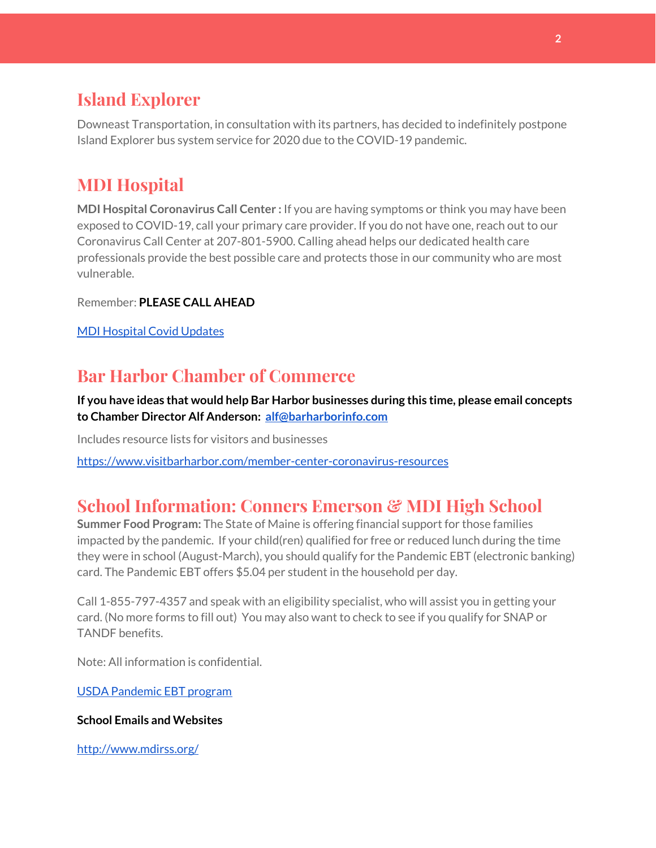#### **Island Explorer**

Downeast Transportation, in consultation with its partners, has decided to indefinitely postpone Island Explorer bus system service for 2020 due to the COVID-19 pandemic.

# **MDI Hospital**

**MDI Hospital Coronavirus Call Center :** If you are having symptoms or think you may have been exposed to COVID-19, call your primary care provider. If you do not have one, reach out to our Coronavirus Call Center at 207-801-5900. Calling ahead helps our dedicated health care professionals provide the best possible care and protects those in our community who are most vulnerable.

Remember: **PLEASE CALL AHEAD**

MDI [Hospital](https://www.mdihospital.org/covid-19/?fbclid=IwAR2Q31t4a6H1pxDfUeqSzFcmp5UbRlSwe93i58zEkHstfexp5EgoHB5cxGU) Covid Updates

#### **Bar Harbor Chamber of Commerce**

**If you have ideas that would help Bar Harbor businesses during this time, please email concepts to Chamber Director Alf Anderson: [alf@barharborinfo.com](mailto:alf@barharborinfo.com)**

Includes resource lists for visitors and businesses

<https://www.visitbarharbor.com/member-center-coronavirus-resources>

## **School Information: Conners Emerson & MDI High School**

**Summer Food Program:** The State of Maine is offering financial support for those families impacted by the pandemic. If your child(ren) qualified for free or reduced lunch during the time they were in school (August-March), you should qualify for the Pandemic EBT (electronic banking) card. The Pandemic EBT offers \$5.04 per student in the household per day.

Call 1-855-797-4357 and speak with an eligibility specialist, who will assist you in getting your card. (No more forms to fill out) You may also want to check to see if you qualify for SNAP or TANDF benefits.

Note: All information is confidential.

USDA [Pandemic](http://track.spe.schoolmessenger.com/f/a/j6GQx4nFl3Rld4Q68tYCuA~~/AAAAAQA~/RgRgu5_JP0SlaHR0cHM6Ly9tYWlsLmdvb2dsZS5jb20vbWFpbC91LzAvP3RhYj1jbSNzZWFyY2gvZnJvbSUzQStiZWVzbGV5L1doY3RLSlZyQ0NUS1JmUldCTFdkUVpGZ2pUVlhNdkRwUVpIa2NoRkJCc3NGcHJxZEtnWFF3S05Tamt3R1RxTFpaS21wTkRHP3Byb2plY3Rvcj0xJm1lc3NhZ2VQYXJ0SWQ9MC4xVwdzY2hvb2xtQgoARkls2l72Ls-jUhhiYXJoYXJib3JqZXdlbEBnbWFpbC5jb21YBAAAAAE~) EBT program

#### **School Emails and Websites**

<http://www.mdirss.org/>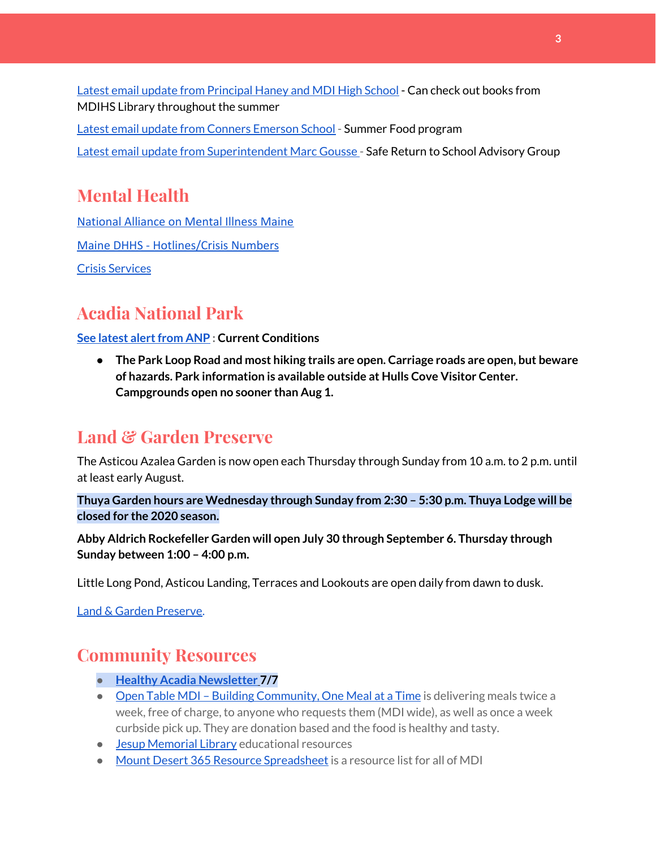Latest email update from [Principal](https://docs.google.com/document/d/1OKDsYNtOgV0FI9xAcXwQvenOKLV0S2vBg1o5jtu5CrE/edit?usp=sharing) Haney and MDI High School - Can check out books from MDIHS Library throughout the summer

Latest email update from Conners [Emerson](https://docs.google.com/document/d/1v3pgkG6Q-9S3gisuUIj4etPVDwgBKl4P00JBkvZr-kk/edit?usp=sharing) School - Summer Food program Latest email update from [Superintendent](https://docs.google.com/document/d/1fzeCbc8gpTSKmUaDoQH1Avx5PVl-h0reFphXrT1eUNA/edit?usp=sharing) Marc Gousse - Safe Return to School Advisory Group

## **Mental Health**

[National Alliance on Mental Illness Maine](https://www.namimaine.org/) [Maine DHHS - Hotlines/Crisis Numbers](https://www.maine.gov/dhhs/hotlines.shtml) Crisis [Services](https://www.sweetser.org/programs-services/services-for-adults/crisis-services/)

# **Acadia National Park**

**See latest alert from ANP : Current Conditions** 

**● The Park Loop Road and most hiking trails are open. Carriage roads are open, but beware of hazards. Park information is available outside at Hulls Cove Visitor Center. Campgrounds open no sooner than Aug 1.**

## **Land & Garden Preserve**

The Asticou Azalea Garden is now open each Thursday through Sunday from 10 a.m. to 2 p.m. until at least early August.

**Thuya Garden hours are Wednesday through Sunday from 2:30 – 5:30 p.m. Thuya Lodge will be closed for the 2020 season.**

**Abby Aldrich Rockefeller Garden will open July 30 through September 6. Thursday through Sunday between 1:00 – 4:00 p.m.**

Little Long Pond, Asticou Landing, Terraces and Lookouts are open daily from dawn to dusk.

Land & Garden [Preserve.](https://www.gardenpreserve.org/)

#### **Community Resources**

- **● Healthy Acadia [Newsletter](https://mailchi.mp/healthyacadia.org/july7_2020) [7](https://mailchi.mp/healthyacadia.org/july7_2020)/7**
- Open Table MDI Building [Community,](https://www.opentablemdi.org/) One Meal at a Time is delivering meals twice a week, free of charge, to anyone who requests them (MDI wide), as well as once a week curbside pick up. They are donation based and the food is healthy and tasty.
- Jesup [Memorial](https://jesuplibrary.org/) Library educational resources
- Mount Desert 365 Resource [Spreadsheet](https://docs.google.com/spreadsheets/d/1okAx6HSsgXZY9CGH07Dzi6rqe7a6m4dLCPKot2Li7Ek/edit?usp=sharing) is a resource list for all of MDI